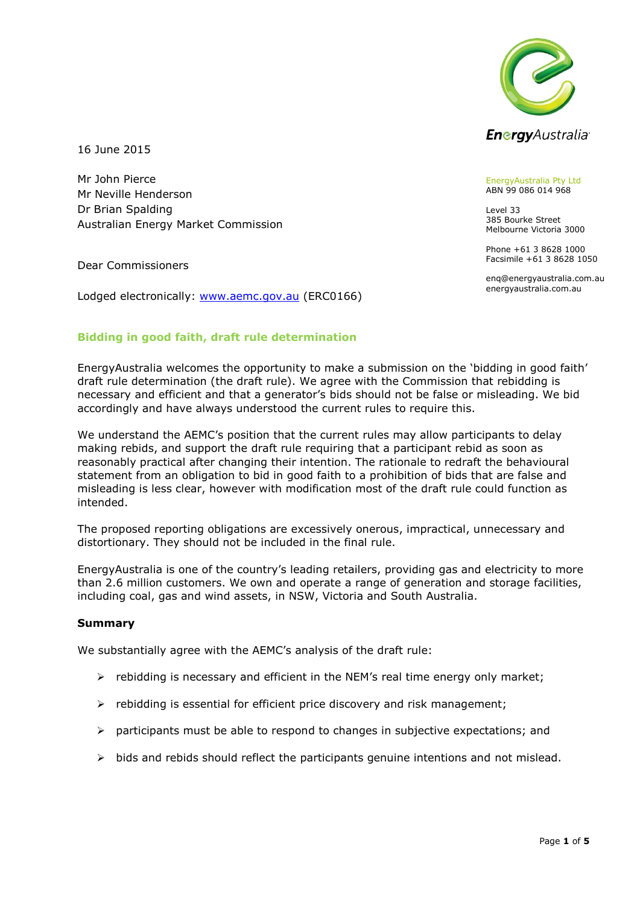

16 June 2015

Mr John Pierce Mr Neville Henderson Dr Brian Spalding Australian Energy Market Commission

Dear Commissioners

Lodged electronically: [www.aemc.gov.au](http://www.aemc.gov.au/) (ERC0166)

#### EnergyAustralia Pty Ltd ABN 99 086 014 968

Level 33 385 Bourke Street Melbourne Victoria 3000

Phone +61 3 8628 1000 Facsimile +61 3 8628 1050

enq@energyaustralia.com.au energyaustralia.com.au

# **Bidding in good faith, draft rule determination**

EnergyAustralia welcomes the opportunity to make a submission on the 'bidding in good faith' draft rule determination (the draft rule). We agree with the Commission that rebidding is necessary and efficient and that a generator's bids should not be false or misleading. We bid accordingly and have always understood the current rules to require this.

We understand the AEMC's position that the current rules may allow participants to delay making rebids, and support the draft rule requiring that a participant rebid as soon as reasonably practical after changing their intention. The rationale to redraft the behavioural statement from an obligation to bid in good faith to a prohibition of bids that are false and misleading is less clear, however with modification most of the draft rule could function as intended.

The proposed reporting obligations are excessively onerous, impractical, unnecessary and distortionary. They should not be included in the final rule.

EnergyAustralia is one of the country's leading retailers, providing gas and electricity to more than 2.6 million customers. We own and operate a range of generation and storage facilities, including coal, gas and wind assets, in NSW, Victoria and South Australia.

#### **Summary**

We substantially agree with the AEMC's analysis of the draft rule:

- $\triangleright$  rebidding is necessary and efficient in the NEM's real time energy only market;
- $\triangleright$  rebidding is essential for efficient price discovery and risk management;
- $\triangleright$  participants must be able to respond to changes in subjective expectations; and
- $\triangleright$  bids and rebids should reflect the participants genuine intentions and not mislead.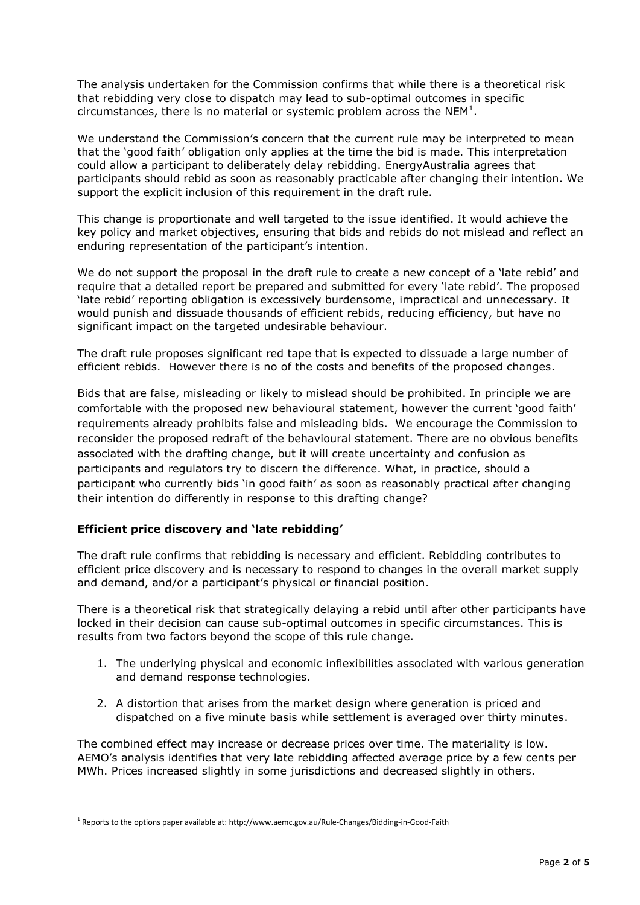The analysis undertaken for the Commission confirms that while there is a theoretical risk that rebidding very close to dispatch may lead to sub-optimal outcomes in specific circumstances, there is no material or systemic problem across the NEM $^1$ .

We understand the Commission's concern that the current rule may be interpreted to mean that the 'good faith' obligation only applies at the time the bid is made. This interpretation could allow a participant to deliberately delay rebidding. EnergyAustralia agrees that participants should rebid as soon as reasonably practicable after changing their intention. We support the explicit inclusion of this requirement in the draft rule.

This change is proportionate and well targeted to the issue identified. It would achieve the key policy and market objectives, ensuring that bids and rebids do not mislead and reflect an enduring representation of the participant's intention.

We do not support the proposal in the draft rule to create a new concept of a 'late rebid' and require that a detailed report be prepared and submitted for every 'late rebid'. The proposed 'late rebid' reporting obligation is excessively burdensome, impractical and unnecessary. It would punish and dissuade thousands of efficient rebids, reducing efficiency, but have no significant impact on the targeted undesirable behaviour.

The draft rule proposes significant red tape that is expected to dissuade a large number of efficient rebids. However there is no of the costs and benefits of the proposed changes.

Bids that are false, misleading or likely to mislead should be prohibited. In principle we are comfortable with the proposed new behavioural statement, however the current 'good faith' requirements already prohibits false and misleading bids. We encourage the Commission to reconsider the proposed redraft of the behavioural statement. There are no obvious benefits associated with the drafting change, but it will create uncertainty and confusion as participants and regulators try to discern the difference. What, in practice, should a participant who currently bids 'in good faith' as soon as reasonably practical after changing their intention do differently in response to this drafting change?

# **Efficient price discovery and 'late rebidding'**

The draft rule confirms that rebidding is necessary and efficient. Rebidding contributes to efficient price discovery and is necessary to respond to changes in the overall market supply and demand, and/or a participant's physical or financial position.

There is a theoretical risk that strategically delaying a rebid until after other participants have locked in their decision can cause sub-optimal outcomes in specific circumstances. This is results from two factors beyond the scope of this rule change.

- 1. The underlying physical and economic inflexibilities associated with various generation and demand response technologies.
- 2. A distortion that arises from the market design where generation is priced and dispatched on a five minute basis while settlement is averaged over thirty minutes.

The combined effect may increase or decrease prices over time. The materiality is low. AEMO's analysis identifies that very late rebidding affected average price by a few cents per MWh. Prices increased slightly in some jurisdictions and decreased slightly in others.

-

 $^1$  Reports to the options paper available at: http://www.aemc.gov.au/Rule-Changes/Bidding-in-Good-Faith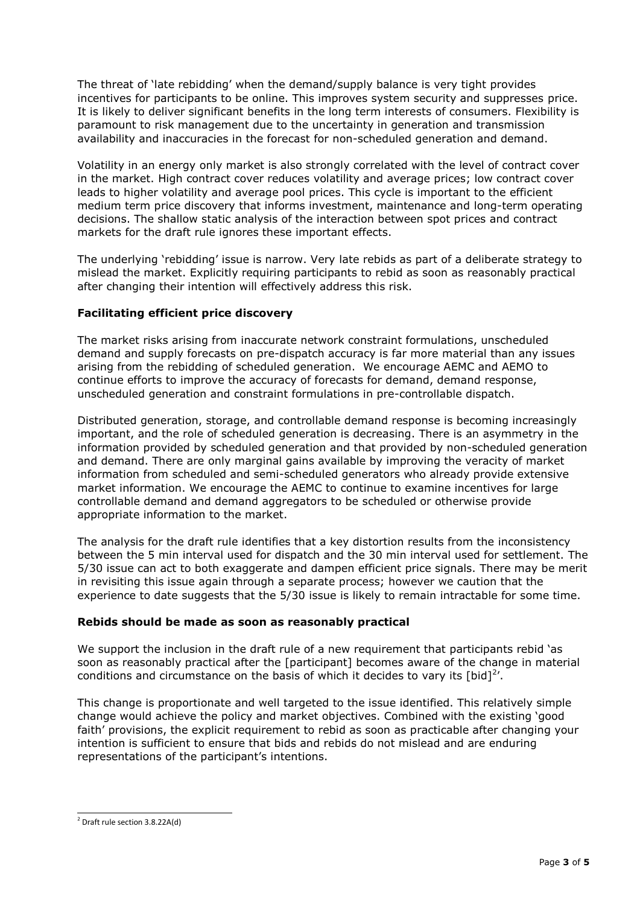The threat of 'late rebidding' when the demand/supply balance is very tight provides incentives for participants to be online. This improves system security and suppresses price. It is likely to deliver significant benefits in the long term interests of consumers. Flexibility is paramount to risk management due to the uncertainty in generation and transmission availability and inaccuracies in the forecast for non-scheduled generation and demand.

Volatility in an energy only market is also strongly correlated with the level of contract cover in the market. High contract cover reduces volatility and average prices; low contract cover leads to higher volatility and average pool prices. This cycle is important to the efficient medium term price discovery that informs investment, maintenance and long-term operating decisions. The shallow static analysis of the interaction between spot prices and contract markets for the draft rule ignores these important effects.

The underlying 'rebidding' issue is narrow. Very late rebids as part of a deliberate strategy to mislead the market. Explicitly requiring participants to rebid as soon as reasonably practical after changing their intention will effectively address this risk.

# **Facilitating efficient price discovery**

The market risks arising from inaccurate network constraint formulations, unscheduled demand and supply forecasts on pre-dispatch accuracy is far more material than any issues arising from the rebidding of scheduled generation. We encourage AEMC and AEMO to continue efforts to improve the accuracy of forecasts for demand, demand response, unscheduled generation and constraint formulations in pre-controllable dispatch.

Distributed generation, storage, and controllable demand response is becoming increasingly important, and the role of scheduled generation is decreasing. There is an asymmetry in the information provided by scheduled generation and that provided by non-scheduled generation and demand. There are only marginal gains available by improving the veracity of market information from scheduled and semi-scheduled generators who already provide extensive market information. We encourage the AEMC to continue to examine incentives for large controllable demand and demand aggregators to be scheduled or otherwise provide appropriate information to the market.

The analysis for the draft rule identifies that a key distortion results from the inconsistency between the 5 min interval used for dispatch and the 30 min interval used for settlement. The 5/30 issue can act to both exaggerate and dampen efficient price signals. There may be merit in revisiting this issue again through a separate process; however we caution that the experience to date suggests that the 5/30 issue is likely to remain intractable for some time.

# **Rebids should be made as soon as reasonably practical**

We support the inclusion in the draft rule of a new requirement that participants rebid 'as soon as reasonably practical after the [participant] becomes aware of the change in material conditions and circumstance on the basis of which it decides to vary its  $[bid]^2$ .

This change is proportionate and well targeted to the issue identified. This relatively simple change would achieve the policy and market objectives. Combined with the existing 'good faith' provisions, the explicit requirement to rebid as soon as practicable after changing your intention is sufficient to ensure that bids and rebids do not mislead and are enduring representations of the participant's intentions.

 2 Draft rule section 3.8.22A(d)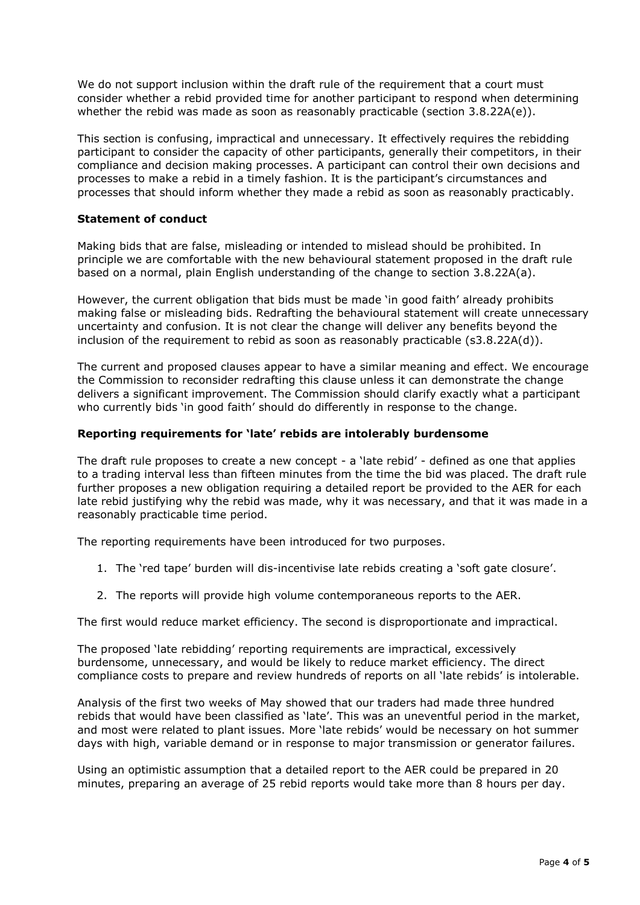We do not support inclusion within the draft rule of the requirement that a court must consider whether a rebid provided time for another participant to respond when determining whether the rebid was made as soon as reasonably practicable (section 3.8.22A(e)).

This section is confusing, impractical and unnecessary. It effectively requires the rebidding participant to consider the capacity of other participants, generally their competitors, in their compliance and decision making processes. A participant can control their own decisions and processes to make a rebid in a timely fashion. It is the participant's circumstances and processes that should inform whether they made a rebid as soon as reasonably practicably.

#### **Statement of conduct**

Making bids that are false, misleading or intended to mislead should be prohibited. In principle we are comfortable with the new behavioural statement proposed in the draft rule based on a normal, plain English understanding of the change to section 3.8.22A(a).

However, the current obligation that bids must be made 'in good faith' already prohibits making false or misleading bids. Redrafting the behavioural statement will create unnecessary uncertainty and confusion. It is not clear the change will deliver any benefits beyond the inclusion of the requirement to rebid as soon as reasonably practicable  $(s3.8.22A(d))$ .

The current and proposed clauses appear to have a similar meaning and effect. We encourage the Commission to reconsider redrafting this clause unless it can demonstrate the change delivers a significant improvement. The Commission should clarify exactly what a participant who currently bids 'in good faith' should do differently in response to the change.

#### **Reporting requirements for 'late' rebids are intolerably burdensome**

The draft rule proposes to create a new concept - a 'late rebid' - defined as one that applies to a trading interval less than fifteen minutes from the time the bid was placed. The draft rule further proposes a new obligation requiring a detailed report be provided to the AER for each late rebid justifying why the rebid was made, why it was necessary, and that it was made in a reasonably practicable time period.

The reporting requirements have been introduced for two purposes.

- 1. The 'red tape' burden will dis-incentivise late rebids creating a 'soft gate closure'.
- 2. The reports will provide high volume contemporaneous reports to the AER.

The first would reduce market efficiency. The second is disproportionate and impractical.

The proposed 'late rebidding' reporting requirements are impractical, excessively burdensome, unnecessary, and would be likely to reduce market efficiency. The direct compliance costs to prepare and review hundreds of reports on all 'late rebids' is intolerable.

Analysis of the first two weeks of May showed that our traders had made three hundred rebids that would have been classified as 'late'. This was an uneventful period in the market, and most were related to plant issues. More 'late rebids' would be necessary on hot summer days with high, variable demand or in response to major transmission or generator failures.

Using an optimistic assumption that a detailed report to the AER could be prepared in 20 minutes, preparing an average of 25 rebid reports would take more than 8 hours per day.